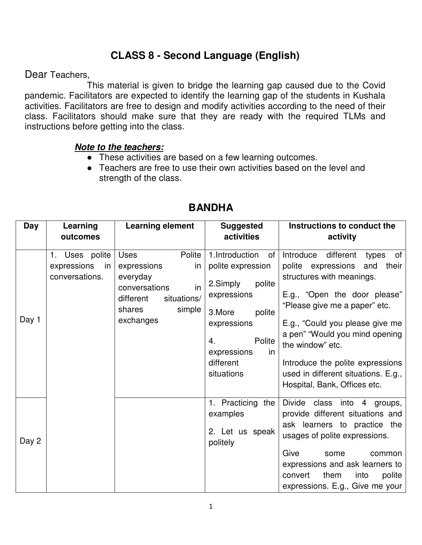## **CLASS 8 - Second Language (English)**

Dear Teachers,

 This material is given to bridge the learning gap caused due to the Covid pandemic. Facilitators are expected to identify the learning gap of the students in Kushala activities. Facilitators are free to design and modify activities according to the need of their class. Facilitators should make sure that they are ready with the required TLMs and instructions before getting into the class.

## **Note to the teachers:**

- These activities are based on a few learning outcomes.
- Teachers are free to use their own activities based on the level and strength of the class.

| Day   | Learning                                              | <b>Learning element</b>                                                                                                                    | <b>Suggested</b>                                                                                                                                                                   | Instructions to conduct the                                                                                                                                                                                                                                                                                                                                                   |
|-------|-------------------------------------------------------|--------------------------------------------------------------------------------------------------------------------------------------------|------------------------------------------------------------------------------------------------------------------------------------------------------------------------------------|-------------------------------------------------------------------------------------------------------------------------------------------------------------------------------------------------------------------------------------------------------------------------------------------------------------------------------------------------------------------------------|
|       | outcomes                                              |                                                                                                                                            | activities                                                                                                                                                                         | activity                                                                                                                                                                                                                                                                                                                                                                      |
| Day 1 | 1. Uses polite<br>expressions<br>in<br>conversations. | Polite<br><b>Uses</b><br>in<br>expressions<br>everyday<br>in<br>conversations<br>different<br>situations/<br>simple<br>shares<br>exchanges | 1.Introduction<br>of<br>polite expression<br>2.Simply<br>polite<br>expressions<br>3.More<br>polite<br>expressions<br>Polite<br>4.<br>expressions<br>in.<br>different<br>situations | of<br>Introduce<br>different<br>types<br>polite expressions<br>and<br>their<br>structures with meanings.<br>E.g., "Open the door please"<br>"Please give me a paper" etc.<br>E.g., "Could you please give me<br>a pen" "Would you mind opening<br>the window" etc.<br>Introduce the polite expressions<br>used in different situations. E.g.,<br>Hospital, Bank, Offices etc. |
| Day 2 |                                                       |                                                                                                                                            | 1. Practicing<br>the<br>examples<br>2. Let us speak<br>politely                                                                                                                    | Divide class into 4 groups,<br>provide different situations and<br>ask learners to practice the<br>usages of polite expressions.<br>Give<br>some<br>common<br>expressions and ask learners to<br>them<br>into<br>convert<br>polite<br>expressions. E.g., Give me your                                                                                                         |

## **BANDHA**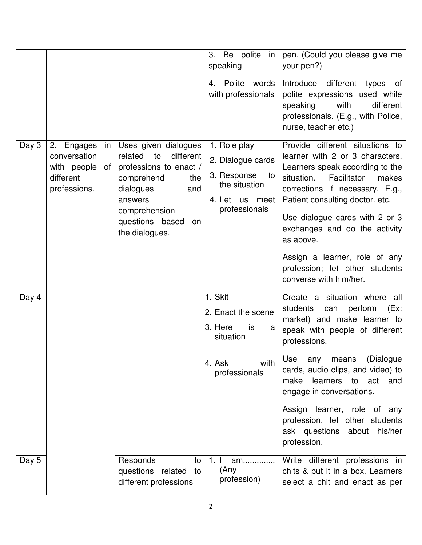|       |                                                                                    |                                                                                                                                                                                              | 3. Be polite in<br>speaking                                                                                | pen. (Could you please give me<br>your pen?)                                                                                                                                                                                                                                                                                                                                                   |
|-------|------------------------------------------------------------------------------------|----------------------------------------------------------------------------------------------------------------------------------------------------------------------------------------------|------------------------------------------------------------------------------------------------------------|------------------------------------------------------------------------------------------------------------------------------------------------------------------------------------------------------------------------------------------------------------------------------------------------------------------------------------------------------------------------------------------------|
|       |                                                                                    |                                                                                                                                                                                              | 4. Polite words<br>with professionals                                                                      | Introduce different types<br>of<br>polite expressions used while<br>speaking<br>with<br>different<br>professionals. (E.g., with Police,<br>nurse, teacher etc.)                                                                                                                                                                                                                                |
| Day 3 | 2. Engages<br>in<br>conversation<br>with people<br>of<br>different<br>professions. | Uses given dialogues<br>different<br>related<br>to<br>professions to enact /<br>comprehend<br>the<br>dialogues<br>and<br>answers<br>comprehension<br>questions based<br>on<br>the dialogues. | 1. Role play<br>2. Dialogue cards<br>3. Response<br>to<br>the situation<br>4. Let us meet<br>professionals | Provide different situations to<br>learner with 2 or 3 characters.<br>Learners speak according to the<br>situation.<br>Facilitator<br>makes<br>corrections if necessary. E.g.,<br>Patient consulting doctor. etc.<br>Use dialogue cards with 2 or 3<br>exchanges and do the activity<br>as above.<br>Assign a learner, role of any<br>profession; let other students<br>converse with him/her. |
| Day 4 |                                                                                    |                                                                                                                                                                                              | 1. Skit<br>2. Enact the scene<br>3. Here<br>is<br>a<br>situation                                           | Create a situation where all<br>perform<br>(EX:<br>students<br>can<br>market) and make learner to<br>speak with people of different<br>professions.                                                                                                                                                                                                                                            |
|       |                                                                                    |                                                                                                                                                                                              | with<br>4. Ask<br>professionals                                                                            | Use<br>any<br>means<br>(Dialogue<br>cards, audio clips, and video) to<br>learners to act<br>make<br>and<br>engage in conversations.                                                                                                                                                                                                                                                            |
|       |                                                                                    |                                                                                                                                                                                              |                                                                                                            | Assign learner, role of any<br>profession, let other students<br>his/her<br>ask questions about<br>profession.                                                                                                                                                                                                                                                                                 |
| Day 5 |                                                                                    | Responds<br>to<br>questions related<br>to<br>different professions                                                                                                                           | 1.1<br>am<br>(Any<br>profession)                                                                           | Write different professions in<br>chits & put it in a box. Learners<br>select a chit and enact as per                                                                                                                                                                                                                                                                                          |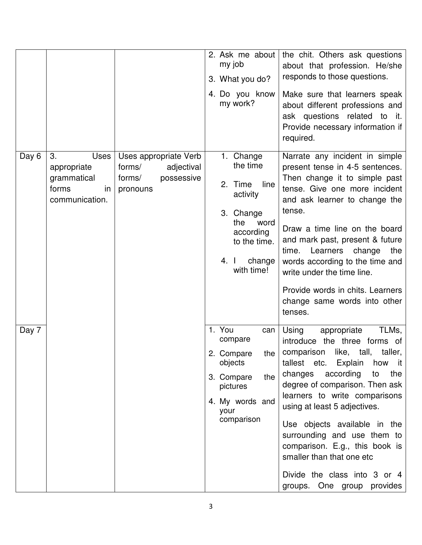|       |                                                                           |                                                                                   | 2. Ask me about<br>my job<br>3. What you do?<br>4. Do you know<br>my work?                                                                    | the chit. Others ask questions<br>about that profession. He/she<br>responds to those questions.<br>Make sure that learners speak<br>about different professions and<br>ask questions related to it.<br>Provide necessary information if<br>required.                                                                                                                                                                                                                           |
|-------|---------------------------------------------------------------------------|-----------------------------------------------------------------------------------|-----------------------------------------------------------------------------------------------------------------------------------------------|--------------------------------------------------------------------------------------------------------------------------------------------------------------------------------------------------------------------------------------------------------------------------------------------------------------------------------------------------------------------------------------------------------------------------------------------------------------------------------|
| Day 6 | 3.<br>Uses<br>appropriate<br>grammatical<br>forms<br>in<br>communication. | Uses appropriate Verb<br>forms/<br>adjectival<br>possessive<br>forms/<br>pronouns | 1. Change<br>the time<br>line<br>2. Time<br>activity<br>3. Change<br>the<br>word<br>according<br>to the time.<br>change<br>4. I<br>with time! | Narrate any incident in simple<br>present tense in 4-5 sentences.<br>Then change it to simple past<br>tense. Give one more incident<br>and ask learner to change the<br>tense.<br>Draw a time line on the board<br>and mark past, present & future<br>Learners<br>change<br>time.<br>the<br>words according to the time and<br>write under the time line.<br>Provide words in chits. Learners<br>change same words into other<br>tenses.                                       |
| Day 7 |                                                                           |                                                                                   | 1. You<br>can<br>compare<br>2.<br>Compare<br>the $\vert$<br>objects<br>3. Compare<br>the<br>pictures<br>4. My words and<br>your<br>comparison | TLMs,<br>Using<br>appropriate<br>introduce the three forms of<br>like,<br>tall,<br>taller,<br>comparison<br>tallest etc. Explain<br>how it<br>changes<br>according<br>the<br>to<br>degree of comparison. Then ask<br>learners to write comparisons<br>using at least 5 adjectives.<br>Use objects available in the<br>surrounding and use them to<br>comparison. E.g., this book is<br>smaller than that one etc<br>Divide the class into 3 or 4<br>groups. One group provides |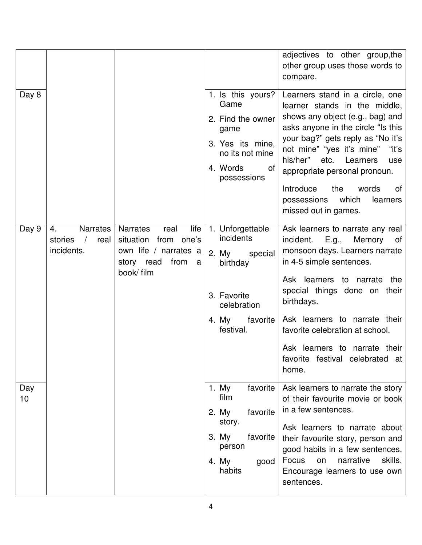| Day 8     |                                                 |                                                                                                                           | 1. Is this yours?                                                                                                             | adjectives to other group, the<br>other group uses those words to<br>compare.<br>Learners stand in a circle, one                                                                                                                                                                                                                                                |
|-----------|-------------------------------------------------|---------------------------------------------------------------------------------------------------------------------------|-------------------------------------------------------------------------------------------------------------------------------|-----------------------------------------------------------------------------------------------------------------------------------------------------------------------------------------------------------------------------------------------------------------------------------------------------------------------------------------------------------------|
|           |                                                 |                                                                                                                           | Game<br>2. Find the owner<br>game<br>3. Yes its mine,<br>no its not mine<br>4. Words<br>of<br>possessions                     | learner stands in the middle,<br>shows any object (e.g., bag) and<br>asks anyone in the circle "Is this<br>your bag?" gets reply as "No it's<br>not mine" "yes it's mine"<br>"it's<br>his/her"<br>etc.<br>Learners<br>use<br>appropriate personal pronoun.<br>Introduce<br>the<br>words<br>οf<br>possessions<br>which<br>learners<br>missed out in games.       |
| Day 9     | Narrates<br>4.<br>stories<br>real<br>incidents. | life<br><b>Narrates</b><br>real<br>situation from one's<br>own life / narrates a<br>story read<br>from<br>a<br>book/ film | 1. Unforgettable<br>incidents<br>2. My<br>special<br>birthday<br>3. Favorite<br>celebration<br>4. My<br>favorite<br>festival. | Ask learners to narrate any real<br>Memory of<br>incident. E.g.,<br>monsoon days. Learners narrate<br>in 4-5 simple sentences.<br>Ask learners to narrate<br>the<br>special things done on their<br>birthdays.<br>Ask learners to narrate their<br>favorite celebration at school.<br>Ask learners to narrate their<br>favorite festival celebrated at<br>home. |
| Day<br>10 |                                                 |                                                                                                                           | 1. My<br>favorite<br>film<br>favorite<br>2. My<br>story.<br>favorite<br>3. My<br>person<br>4. My<br>good<br>habits            | Ask learners to narrate the story<br>of their favourite movie or book<br>in a few sentences.<br>Ask learners to narrate about<br>their favourite story, person and<br>good habits in a few sentences.<br>Focus<br>narrative<br>skills.<br>on<br>Encourage learners to use own<br>sentences.                                                                     |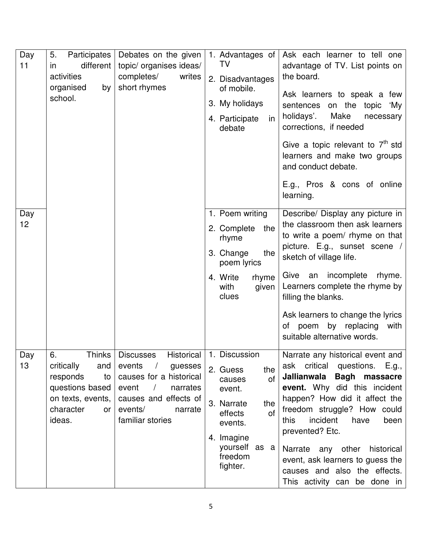| Day<br>11 | Participates  <br>5.<br>different<br>in.<br>activities<br>organised<br>by<br>school.                           | Debates on the given<br>topic/ organises ideas/<br>completes/<br>writes<br>short rhymes                                                                                                | 1. Advantages of<br>TV<br>2. Disadvantages<br>of mobile.<br>3. My holidays<br>4. Participate<br>in<br>debate                                                                   | Ask each learner to tell one<br>advantage of TV. List points on<br>the board.<br>Ask learners to speak a few<br>on the<br>topic<br>sentences<br>ʻMy<br>Make<br>holidays'.<br>necessary<br>corrections, if needed<br>Give a topic relevant to $7th$ std<br>learners and make two groups<br>and conduct debate.<br>E.g., Pros & cons of online<br>learning.                                    |
|-----------|----------------------------------------------------------------------------------------------------------------|----------------------------------------------------------------------------------------------------------------------------------------------------------------------------------------|--------------------------------------------------------------------------------------------------------------------------------------------------------------------------------|----------------------------------------------------------------------------------------------------------------------------------------------------------------------------------------------------------------------------------------------------------------------------------------------------------------------------------------------------------------------------------------------|
| Day<br>12 |                                                                                                                |                                                                                                                                                                                        | 1. Poem writing<br>2. Complete<br>the<br>rhyme<br>3. Change<br>the<br>poem lyrics<br>4. Write<br>rhyme<br>with<br>given<br>clues                                               | Describe/ Display any picture in<br>the classroom then ask learners<br>to write a poem/ rhyme on that<br>picture. E.g., sunset scene /<br>sketch of village life.<br>incomplete<br>Give an<br>rhyme.<br>Learners complete the rhyme by<br>filling the blanks.<br>Ask learners to change the lyrics<br>by replacing<br>of poem<br>with<br>suitable alternative words.                         |
| Day<br>13 | 6.<br>critically<br>and<br>responds<br>to<br>questions based<br>on texts, events.<br>character<br>or<br>ideas. | Thinks   Discusses<br>events<br>$\sqrt{2}$<br>guesses<br>causes for a historical<br>event<br>narrates<br>$\sqrt{2}$<br>causes and effects of<br>events/<br>narrate<br>familiar stories | Historical   1. Discussion<br>2. Guess<br>the<br>of<br>causes<br>event.<br>3. Narrate<br>the<br>effects<br>of<br>events.<br>4. Imagine<br>yourself as a<br>freedom<br>fighter. | Narrate any historical event and<br>ask critical questions. E.g.,<br>Jallianwala Bagh massacre<br>event. Why did this incident<br>happen? How did it affect the<br>freedom struggle? How could<br>incident<br>have<br>been<br>this<br>prevented? Etc.<br>Narrate any other<br>historical<br>event, ask learners to guess the<br>causes and also the effects.<br>This activity can be done in |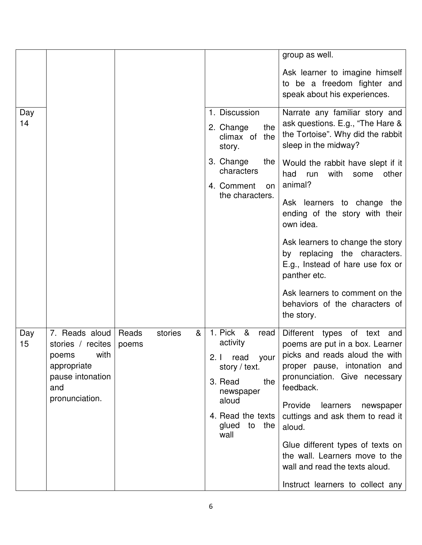|           |                                                                                                                  |                |         |                                                                                                                                                                    | group as well.                                                                                                                                                                                                                                                                                                                                                                                               |
|-----------|------------------------------------------------------------------------------------------------------------------|----------------|---------|--------------------------------------------------------------------------------------------------------------------------------------------------------------------|--------------------------------------------------------------------------------------------------------------------------------------------------------------------------------------------------------------------------------------------------------------------------------------------------------------------------------------------------------------------------------------------------------------|
|           |                                                                                                                  |                |         |                                                                                                                                                                    | Ask learner to imagine himself<br>to be a freedom fighter and<br>speak about his experiences.                                                                                                                                                                                                                                                                                                                |
| Day<br>14 |                                                                                                                  |                |         | 1. Discussion<br>2. Change<br>the<br>climax of the<br>story.                                                                                                       | Narrate any familiar story and<br>ask questions. E.g., "The Hare &<br>the Tortoise". Why did the rabbit<br>sleep in the midway?                                                                                                                                                                                                                                                                              |
|           |                                                                                                                  |                |         | 3. Change<br>the<br>characters<br>4. Comment<br>on                                                                                                                 | Would the rabbit have slept if it<br>with<br>had<br>run<br>other<br>some<br>animal?                                                                                                                                                                                                                                                                                                                          |
|           |                                                                                                                  |                |         | the characters.                                                                                                                                                    | Ask learners to change the<br>ending of the story with their<br>own idea.                                                                                                                                                                                                                                                                                                                                    |
|           |                                                                                                                  |                |         |                                                                                                                                                                    | Ask learners to change the story<br>by replacing the characters.<br>E.g., Instead of hare use fox or<br>panther etc.                                                                                                                                                                                                                                                                                         |
|           |                                                                                                                  |                |         |                                                                                                                                                                    | Ask learners to comment on the<br>behaviors of the characters of<br>the story.                                                                                                                                                                                                                                                                                                                               |
| Day<br>15 | 7. Reads aloud<br>stories / recites<br>with<br>poems<br>appropriate<br>pause intonation<br>and<br>pronunciation. | Reads<br>poems | stories | 1. Pick &<br>&<br>read<br>activity<br>2. I read your<br>story $/$ text.<br>3. Read<br>the<br>newspaper<br>aloud<br>4. Read the texts<br>glued<br>the<br>to<br>wall | Different types of text and<br>poems are put in a box. Learner<br>picks and reads aloud the with<br>proper pause, intonation and<br>pronunciation. Give necessary<br>feedback.<br>Provide<br>learners<br>newspaper<br>cuttings and ask them to read it<br>aloud.<br>Glue different types of texts on<br>the wall. Learners move to the<br>wall and read the texts aloud.<br>Instruct learners to collect any |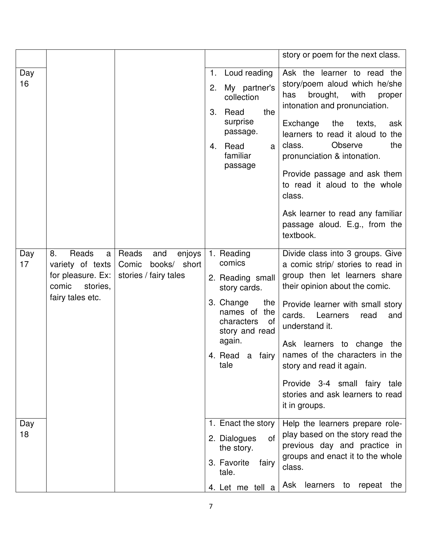| Loud reading<br>Day<br>1.<br>16<br>My partner's<br>2.<br>brought,<br>with<br>has<br>collection<br>3.<br>Read<br>the<br>surprise<br>Exchange<br>the<br>passage.<br>Observe<br>class.<br>Read<br>4.<br>a<br>familiar<br>passage<br>class.<br>textbook.<br>Reads<br>Day<br>Reads<br>and<br>1. Reading<br>8.<br>enjoys<br>a<br>comics<br>17<br>variety of texts<br>Comic<br>books/ short<br>for pleasure. Ex:<br>stories / fairy tales<br>2. Reading small<br>comic<br>stories,<br>story cards.<br>fairy tales etc. |  |  |                  | story or poem for the next class.                                                                                                                                                                                                                                                                                                        |
|-----------------------------------------------------------------------------------------------------------------------------------------------------------------------------------------------------------------------------------------------------------------------------------------------------------------------------------------------------------------------------------------------------------------------------------------------------------------------------------------------------------------|--|--|------------------|------------------------------------------------------------------------------------------------------------------------------------------------------------------------------------------------------------------------------------------------------------------------------------------------------------------------------------------|
|                                                                                                                                                                                                                                                                                                                                                                                                                                                                                                                 |  |  |                  | Ask the learner to read the<br>story/poem aloud which he/she<br>proper<br>intonation and pronunciation.<br>texts,<br>ask<br>learners to read it aloud to the<br>the<br>pronunciation & intonation.<br>Provide passage and ask them<br>to read it aloud to the whole<br>Ask learner to read any familiar<br>passage aloud. E.g., from the |
| names of the<br>cards.<br>Learners<br>read<br>characters<br>0f<br>understand it.<br>story and read<br>again.<br>4. Read a fairy   names of the characters in the<br>tale<br>story and read it again.<br>it in groups.                                                                                                                                                                                                                                                                                           |  |  | 3. Change<br>the | Divide class into 3 groups. Give<br>a comic strip/ stories to read in<br>group then let learners share<br>their opinion about the comic.<br>Provide learner with small story<br>and<br>Ask learners to change the<br>Provide 3-4 small fairy tale<br>stories and ask learners to read                                                    |
| Day<br>1. Enact the story<br>18<br>2. Dialogues<br>0f<br>the story.<br>3. Favorite<br>fairy<br>class.<br>tale.<br>Ask learners<br>to<br>4. Let me tell a                                                                                                                                                                                                                                                                                                                                                        |  |  |                  | Help the learners prepare role-<br>play based on the story read the<br>previous day and practice in<br>groups and enact it to the whole<br>repeat<br>the                                                                                                                                                                                 |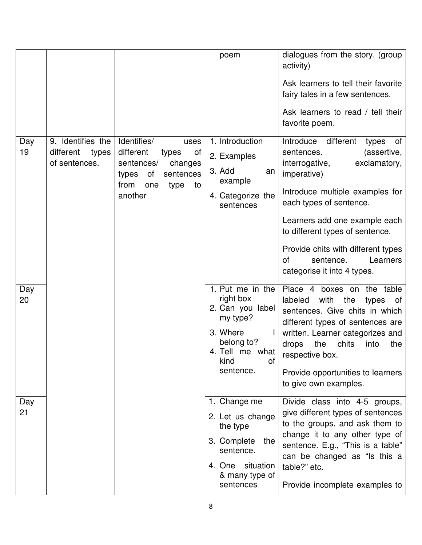|           |                                                          |                                                                                                                                              | poem                                                                                                                                  | dialogues from the story. (group<br>activity)<br>Ask learners to tell their favorite<br>fairy tales in a few sentences.<br>Ask learners to read / tell their<br>favorite poem.                                                                                                                                                                            |
|-----------|----------------------------------------------------------|----------------------------------------------------------------------------------------------------------------------------------------------|---------------------------------------------------------------------------------------------------------------------------------------|-----------------------------------------------------------------------------------------------------------------------------------------------------------------------------------------------------------------------------------------------------------------------------------------------------------------------------------------------------------|
| Day<br>19 | 9. Identifies the<br>different<br>types<br>of sentences. | Identifies/<br>uses<br>different<br>types<br>0f<br>sentences/<br>changes<br>of<br>types<br>sentences<br>from<br>one<br>type<br>to<br>another | 1. Introduction<br>2. Examples<br>3. Add<br>an<br>example<br>4. Categorize the<br>sentences                                           | Introduce<br>different<br>of<br>types<br>(assertive,<br>sentences.<br>interrogative,<br>exclamatory,<br>imperative)<br>Introduce multiple examples for<br>each types of sentence.<br>Learners add one example each<br>to different types of sentence.<br>Provide chits with different types<br>sentence.<br>Learners<br>of<br>categorise it into 4 types. |
| Day<br>20 |                                                          |                                                                                                                                              | 1. Put me in the<br>right box<br>2. Can you label<br>my type?<br>3. Where<br>belong to?<br>4. Tell me what<br>kind<br>of<br>sentence. | Place 4<br>boxes on<br>the table<br>labeled<br>with<br>the<br>types<br>of<br>sentences. Give chits in which<br>different types of sentences are<br>written. Learner categorizes and<br>the<br>chits<br>drops<br>into<br>the<br>respective box.<br>Provide opportunities to learners<br>to give own examples.                                              |
| Day<br>21 |                                                          |                                                                                                                                              | 1. Change me<br>2. Let us change<br>the type<br>3. Complete<br>the<br>sentence.<br>4. One situation<br>& many type of<br>sentences    | Divide class into 4-5 groups,<br>give different types of sentences<br>to the groups, and ask them to<br>change it to any other type of<br>sentence. E.g., "This is a table"<br>can be changed as "Is this a<br>table?" etc.<br>Provide incomplete examples to                                                                                             |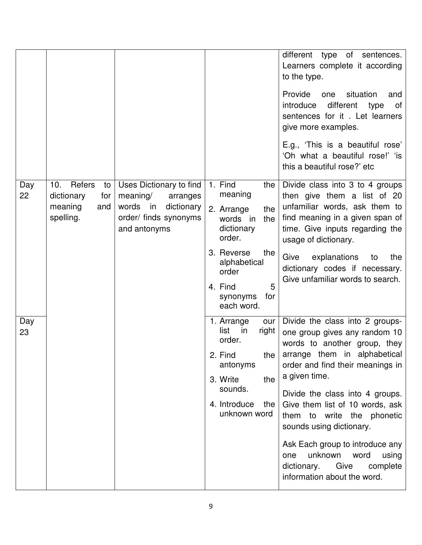|           |                                                                         |                                                                                                                                  |                                                                                                                                                                                          | different type of sentences.<br>Learners complete it according<br>to the type.<br>Provide<br>situation<br>one<br>and<br>introduce<br>different<br>type<br>Οf<br>sentences for it. Let learners<br>give more examples.<br>E.g., 'This is a beautiful rose'<br>'Oh what a beautiful rose!' 'is<br>this a beautiful rose?' etc                                                                                                                                      |
|-----------|-------------------------------------------------------------------------|----------------------------------------------------------------------------------------------------------------------------------|------------------------------------------------------------------------------------------------------------------------------------------------------------------------------------------|------------------------------------------------------------------------------------------------------------------------------------------------------------------------------------------------------------------------------------------------------------------------------------------------------------------------------------------------------------------------------------------------------------------------------------------------------------------|
| Day<br>22 | Refers<br>10.<br>to<br>dictionary<br>for<br>meaning<br>and<br>spelling. | Uses Dictionary to find<br>meaning/<br>arranges<br>words<br>dictionary<br>$\mathsf{in}$<br>order/ finds synonyms<br>and antonyms | 1. Find<br>the<br>meaning<br>the<br>2. Arrange<br>the<br>words in<br>dictionary<br>order.<br>3. Reverse<br>the<br>alphabetical<br>order<br>5<br>4. Find<br>for<br>synonyms<br>each word. | Divide class into 3 to 4 groups<br>then give them a list of 20<br>unfamiliar words, ask them to<br>find meaning in a given span of<br>time. Give inputs regarding the<br>usage of dictionary.<br>Give<br>explanations<br>the<br>to<br>dictionary codes if necessary.<br>Give unfamiliar words to search.                                                                                                                                                         |
| Day<br>23 |                                                                         |                                                                                                                                  | 1. Arrange<br>our<br>list<br>right<br>in<br>order.<br>2. Find<br>antonyms<br>the<br>3. Write<br>sounds.<br>4. Introduce<br>the<br>unknown word                                           | Divide the class into 2 groups-<br>one group gives any random 10<br>words to another group, they<br>the   arrange them in alphabetical<br>order and find their meanings in<br>a given time.<br>Divide the class into 4 groups.<br>Give them list of 10 words, ask<br>them to write the phonetic<br>sounds using dictionary.<br>Ask Each group to introduce any<br>unknown word<br>using<br>one<br>dictionary.<br>Give<br>complete<br>information about the word. |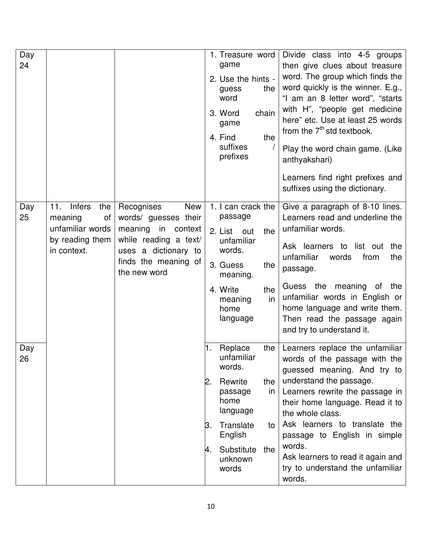| Day<br>24 |                                                                                                    |                                                                                                                                                                 | 1. Treasure word<br>game<br>2. Use the hints -<br>the<br>guess<br>word<br>3. Word<br>chain<br>game<br>4. Find<br>the<br>suffixes<br>prefixes                                                         | Divide class into 4-5 groups<br>then give clues about treasure<br>word. The group which finds the<br>word quickly is the winner. E.g.,<br>"I am an 8 letter word", "starts<br>with H", "people get medicine<br>here" etc. Use at least 25 words<br>from the 7 <sup>th</sup> std textbook.<br>Play the word chain game. (Like<br>anthyakshari)<br>Learners find right prefixes and<br>suffixes using the dictionary. |
|-----------|----------------------------------------------------------------------------------------------------|-----------------------------------------------------------------------------------------------------------------------------------------------------------------|------------------------------------------------------------------------------------------------------------------------------------------------------------------------------------------------------|---------------------------------------------------------------------------------------------------------------------------------------------------------------------------------------------------------------------------------------------------------------------------------------------------------------------------------------------------------------------------------------------------------------------|
| Day<br>25 | 11.<br><b>Infers</b><br>the<br>meaning<br>Οf<br>unfamiliar words<br>by reading them<br>in context. | <b>New</b><br>Recognises<br>words/ guesses their<br>meaning in context<br>while reading a text/<br>uses a dictionary to<br>finds the meaning of<br>the new word | 1. I can crack the<br>passage<br>2. List out<br>the<br>unfamiliar<br>words.<br>3. Guess<br>the<br>meaning.<br>4. Write<br>the<br>in<br>meaning<br>home<br>language                                   | Give a paragraph of 8-10 lines.<br>Learners read and underline the<br>unfamiliar words.<br>Ask learners to list out<br>the<br>unfamiliar<br>words<br>from<br>the<br>passage.<br>Guess the meaning of<br>the<br>unfamiliar words in English or<br>home language and write them.<br>Then read the passage again<br>and try to understand it.                                                                          |
| Day<br>26 |                                                                                                    |                                                                                                                                                                 | $ 1.$ Replace<br>the $\vert$<br>unfamiliar<br>words.<br>Rewrite<br>the<br>2.<br>in<br>passage<br>home<br>language<br>Translate<br>Β.<br>to<br>English<br>Substitute<br>the<br>4.<br>unknown<br>words | Learners replace the unfamiliar<br>words of the passage with the<br>guessed meaning. And try to<br>understand the passage.<br>Learners rewrite the passage in<br>their home language. Read it to<br>the whole class.<br>Ask learners to translate the<br>passage to English in simple<br>words.<br>Ask learners to read it again and<br>try to understand the unfamiliar<br>words.                                  |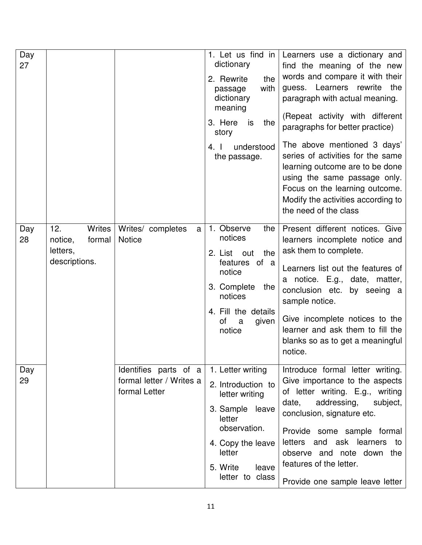| Day<br>27 |                                                                 |                                                                    | dictionary<br>2. Rewrite<br>the<br>with<br>passage<br>dictionary<br>meaning<br>3. Here<br>the<br>is<br>story<br>understood<br>4.1<br>the passage.                             | 1. Let us find in   Learners use a dictionary and<br>find the meaning of the new<br>words and compare it with their<br>quess. Learners rewrite<br>the<br>paragraph with actual meaning.<br>(Repeat activity with different<br>paragraphs for better practice)<br>The above mentioned 3 days'<br>series of activities for the same<br>learning outcome are to be done<br>using the same passage only.<br>Focus on the learning outcome.<br>Modify the activities according to<br>the need of the class |
|-----------|-----------------------------------------------------------------|--------------------------------------------------------------------|-------------------------------------------------------------------------------------------------------------------------------------------------------------------------------|-------------------------------------------------------------------------------------------------------------------------------------------------------------------------------------------------------------------------------------------------------------------------------------------------------------------------------------------------------------------------------------------------------------------------------------------------------------------------------------------------------|
| Day<br>28 | Writes<br>12.<br>notice,<br>formal<br>letters,<br>descriptions. | Writes/ completes<br>a<br><b>Notice</b>                            | 1. Observe<br>the<br>notices<br>the<br>2. List<br>out<br>features of a<br>notice<br>3. Complete<br>the<br>notices<br>4. Fill the details<br>of<br>given<br>a<br>notice        | Present different notices. Give<br>learners incomplete notice and<br>ask them to complete.<br>Learners list out the features of<br>a notice. E.g., date, matter,<br>conclusion etc.<br>by seeing a<br>sample notice.<br>Give incomplete notices to the<br>learner and ask them to fill the<br>blanks so as to get a meaningful<br>notice.                                                                                                                                                             |
| Day<br>29 |                                                                 | Identifies parts of a<br>formal letter / Writes a<br>formal Letter | 1. Letter writing<br>2. Introduction to<br>letter writing<br>3. Sample leave<br>letter<br>observation.<br>4. Copy the leave<br>letter<br>5. Write<br>leave<br>letter to class | Introduce formal letter writing.<br>Give importance to the aspects<br>of letter writing. E.g., writing<br>addressing,<br>date,<br>subject,<br>conclusion, signature etc.<br>Provide some sample formal<br>letters and ask learners<br>to<br>observe and note down the<br>features of the letter.<br>Provide one sample leave letter                                                                                                                                                                   |